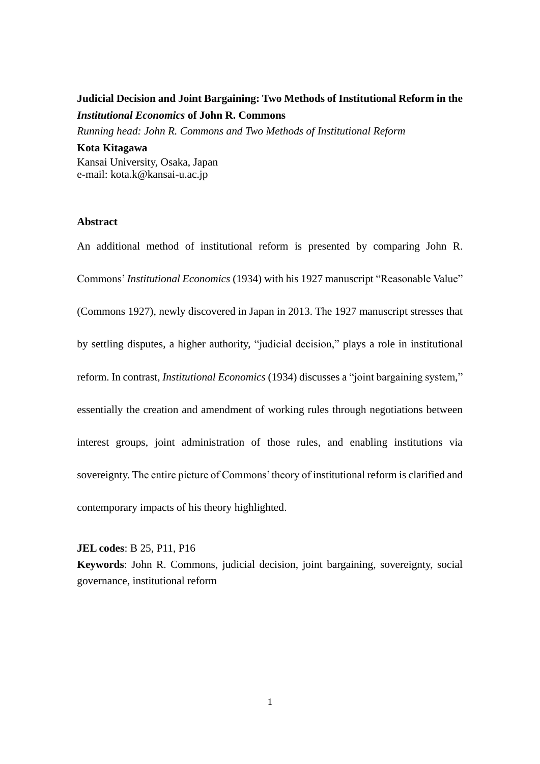# **Judicial Decision and Joint Bargaining: Two Methods of Institutional Reform in the**  *Institutional Economics* **of John R. Commons**

*Running head: John R. Commons and Two Methods of Institutional Reform*

**Kota Kitagawa** Kansai University, Osaka, Japan e-mail: kota.k@kansai-u.ac.jp

#### **Abstract**

An additional method of institutional reform is presented by comparing John R. Commons' *Institutional Economics* (1934) with his 1927 manuscript "Reasonable Value" (Commons 1927), newly discovered in Japan in 2013. The 1927 manuscript stresses that by settling disputes, a higher authority, "judicial decision," plays a role in institutional reform. In contrast, *Institutional Economics* (1934) discusses a "joint bargaining system," essentially the creation and amendment of working rules through negotiations between interest groups, joint administration of those rules, and enabling institutions via sovereignty. The entire picture of Commons' theory of institutional reform is clarified and contemporary impacts of his theory highlighted.

#### **JEL codes**: B 25, P11, P16

**Keywords**: John R. Commons, judicial decision, joint bargaining, sovereignty, social governance, institutional reform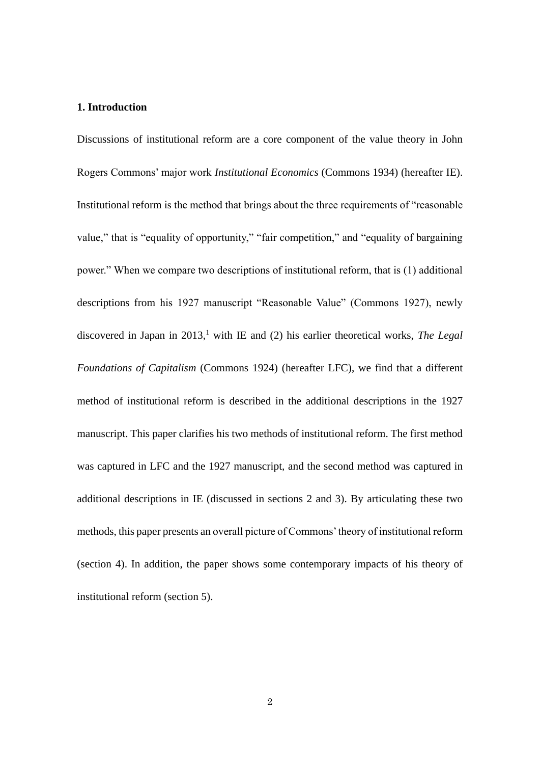# **1. Introduction**

Discussions of institutional reform are a core component of the value theory in John Rogers Commons' major work *Institutional Economics* (Commons 1934) (hereafter IE). Institutional reform is the method that brings about the three requirements of "reasonable value," that is "equality of opportunity," "fair competition," and "equality of bargaining power." When we compare two descriptions of institutional reform, that is (1) additional descriptions from his 1927 manuscript "Reasonable Value" (Commons 1927), newly discovered in Japan in 2013, <sup>1</sup> with IE and (2) his earlier theoretical works, *The Legal Foundations of Capitalism* (Commons 1924) (hereafter LFC), we find that a different method of institutional reform is described in the additional descriptions in the 1927 manuscript. This paper clarifies his two methods of institutional reform. The first method was captured in LFC and the 1927 manuscript, and the second method was captured in additional descriptions in IE (discussed in sections 2 and 3). By articulating these two methods, this paper presents an overall picture of Commons' theory of institutional reform (section 4). In addition, the paper shows some contemporary impacts of his theory of institutional reform (section 5).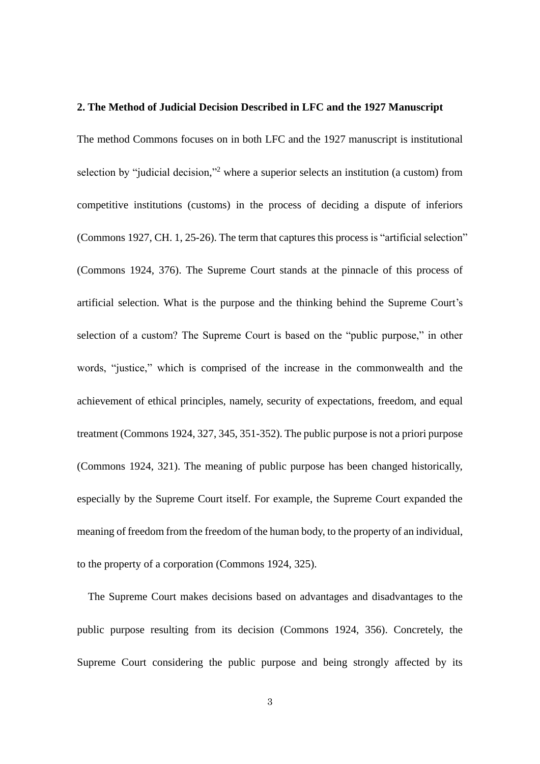### **2. The Method of Judicial Decision Described in LFC and the 1927 Manuscript**

The method Commons focuses on in both LFC and the 1927 manuscript is institutional selection by "judicial decision,"<sup>2</sup> where a superior selects an institution (a custom) from competitive institutions (customs) in the process of deciding a dispute of inferiors (Commons 1927, CH. 1, 25-26). The term that captures this process is "artificial selection" (Commons 1924, 376). The Supreme Court stands at the pinnacle of this process of artificial selection. What is the purpose and the thinking behind the Supreme Court's selection of a custom? The Supreme Court is based on the "public purpose," in other words, "justice," which is comprised of the increase in the commonwealth and the achievement of ethical principles, namely, security of expectations, freedom, and equal treatment (Commons 1924, 327, 345, 351-352). The public purpose is not a priori purpose (Commons 1924, 321). The meaning of public purpose has been changed historically, especially by the Supreme Court itself. For example, the Supreme Court expanded the meaning of freedom from the freedom of the human body, to the property of an individual, to the property of a corporation (Commons 1924, 325).

The Supreme Court makes decisions based on advantages and disadvantages to the public purpose resulting from its decision (Commons 1924, 356). Concretely, the Supreme Court considering the public purpose and being strongly affected by its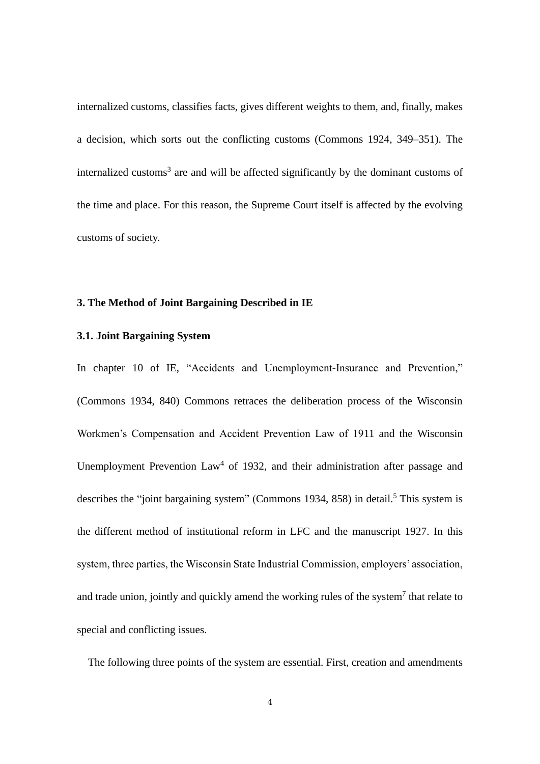internalized customs, classifies facts, gives different weights to them, and, finally, makes a decision, which sorts out the conflicting customs (Commons 1924, 349–351). The internalized customs<sup>3</sup> are and will be affected significantly by the dominant customs of the time and place. For this reason, the Supreme Court itself is affected by the evolving customs of society.

### **3. The Method of Joint Bargaining Described in IE**

# **3.1. Joint Bargaining System**

In chapter 10 of IE, "Accidents and Unemployment-Insurance and Prevention," (Commons 1934, 840) Commons retraces the deliberation process of the Wisconsin Workmen's Compensation and Accident Prevention Law of 1911 and the Wisconsin Unemployment Prevention  $Law<sup>4</sup>$  of 1932, and their administration after passage and describes the "joint bargaining system" (Commons 1934, 858) in detail.<sup>5</sup> This system is the different method of institutional reform in LFC and the manuscript 1927. In this system, three parties, the Wisconsin State Industrial Commission, employers' association, and trade union, jointly and quickly amend the working rules of the system<sup>7</sup> that relate to special and conflicting issues.

The following three points of the system are essential. First, creation and amendments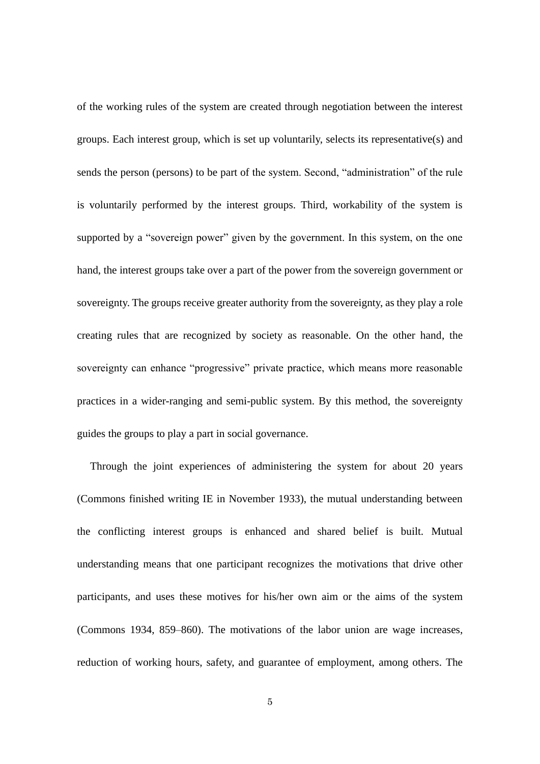of the working rules of the system are created through negotiation between the interest groups. Each interest group, which is set up voluntarily, selects its representative(s) and sends the person (persons) to be part of the system. Second, "administration" of the rule is voluntarily performed by the interest groups. Third, workability of the system is supported by a "sovereign power" given by the government. In this system, on the one hand, the interest groups take over a part of the power from the sovereign government or sovereignty. The groups receive greater authority from the sovereignty, as they play a role creating rules that are recognized by society as reasonable. On the other hand, the sovereignty can enhance "progressive" private practice, which means more reasonable practices in a wider-ranging and semi-public system. By this method, the sovereignty guides the groups to play a part in social governance.

Through the joint experiences of administering the system for about 20 years (Commons finished writing IE in November 1933), the mutual understanding between the conflicting interest groups is enhanced and shared belief is built. Mutual understanding means that one participant recognizes the motivations that drive other participants, and uses these motives for his/her own aim or the aims of the system (Commons 1934, 859–860). The motivations of the labor union are wage increases, reduction of working hours, safety, and guarantee of employment, among others. The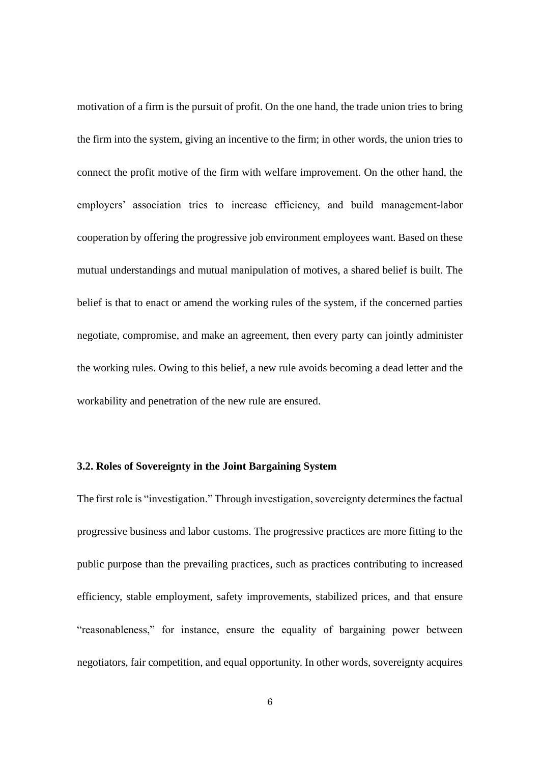motivation of a firm is the pursuit of profit. On the one hand, the trade union tries to bring the firm into the system, giving an incentive to the firm; in other words, the union tries to connect the profit motive of the firm with welfare improvement. On the other hand, the employers' association tries to increase efficiency, and build management-labor cooperation by offering the progressive job environment employees want. Based on these mutual understandings and mutual manipulation of motives, a shared belief is built. The belief is that to enact or amend the working rules of the system, if the concerned parties negotiate, compromise, and make an agreement, then every party can jointly administer the working rules. Owing to this belief, a new rule avoids becoming a dead letter and the workability and penetration of the new rule are ensured.

### **3.2. Roles of Sovereignty in the Joint Bargaining System**

The first role is "investigation." Through investigation, sovereignty determines the factual progressive business and labor customs. The progressive practices are more fitting to the public purpose than the prevailing practices, such as practices contributing to increased efficiency, stable employment, safety improvements, stabilized prices, and that ensure "reasonableness," for instance, ensure the equality of bargaining power between negotiators, fair competition, and equal opportunity. In other words, sovereignty acquires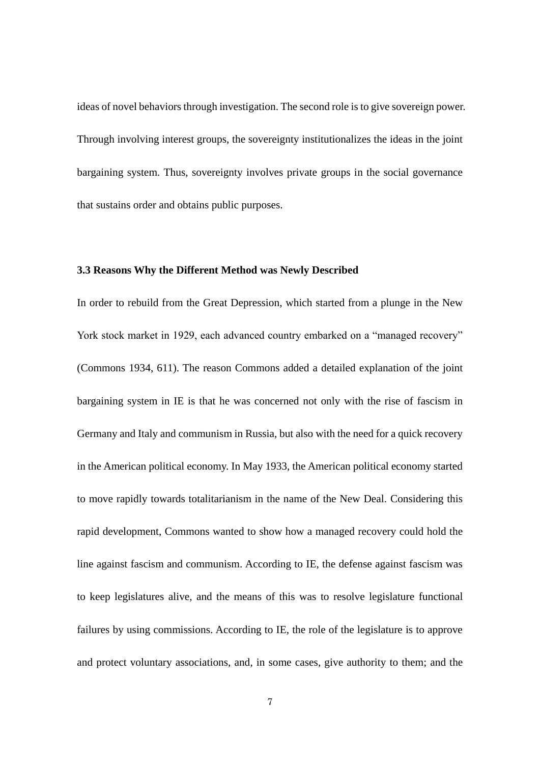ideas of novel behaviors through investigation. The second role is to give sovereign power. Through involving interest groups, the sovereignty institutionalizes the ideas in the joint bargaining system. Thus, sovereignty involves private groups in the social governance that sustains order and obtains public purposes.

### **3.3 Reasons Why the Different Method was Newly Described**

In order to rebuild from the Great Depression, which started from a plunge in the New York stock market in 1929, each advanced country embarked on a "managed recovery" (Commons 1934, 611). The reason Commons added a detailed explanation of the joint bargaining system in IE is that he was concerned not only with the rise of fascism in Germany and Italy and communism in Russia, but also with the need for a quick recovery in the American political economy. In May 1933, the American political economy started to move rapidly towards totalitarianism in the name of the New Deal. Considering this rapid development, Commons wanted to show how a managed recovery could hold the line against fascism and communism. According to IE, the defense against fascism was to keep legislatures alive, and the means of this was to resolve legislature functional failures by using commissions. According to IE, the role of the legislature is to approve and protect voluntary associations, and, in some cases, give authority to them; and the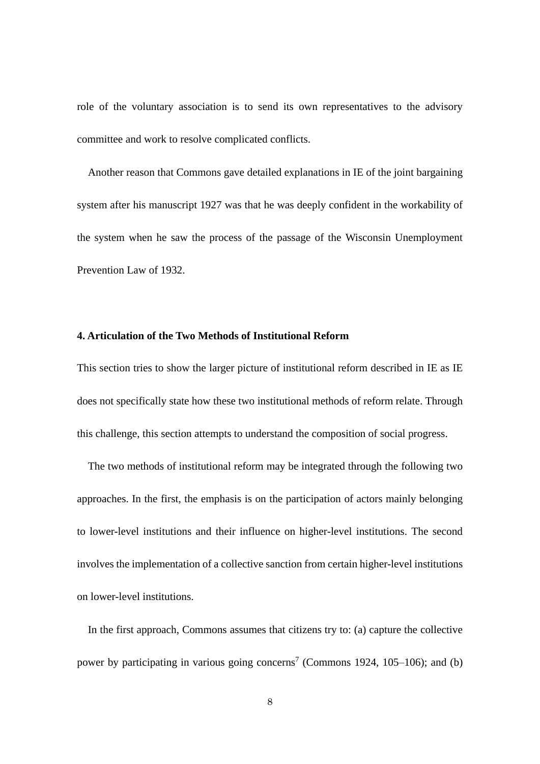role of the voluntary association is to send its own representatives to the advisory committee and work to resolve complicated conflicts.

Another reason that Commons gave detailed explanations in IE of the joint bargaining system after his manuscript 1927 was that he was deeply confident in the workability of the system when he saw the process of the passage of the Wisconsin Unemployment Prevention Law of 1932.

### **4. Articulation of the Two Methods of Institutional Reform**

This section tries to show the larger picture of institutional reform described in IE as IE does not specifically state how these two institutional methods of reform relate. Through this challenge, this section attempts to understand the composition of social progress.

The two methods of institutional reform may be integrated through the following two approaches. In the first, the emphasis is on the participation of actors mainly belonging to lower-level institutions and their influence on higher-level institutions. The second involves the implementation of a collective sanction from certain higher-level institutions on lower-level institutions.

In the first approach, Commons assumes that citizens try to: (a) capture the collective power by participating in various going concerns<sup>7</sup> (Commons 1924, 105–106); and (b)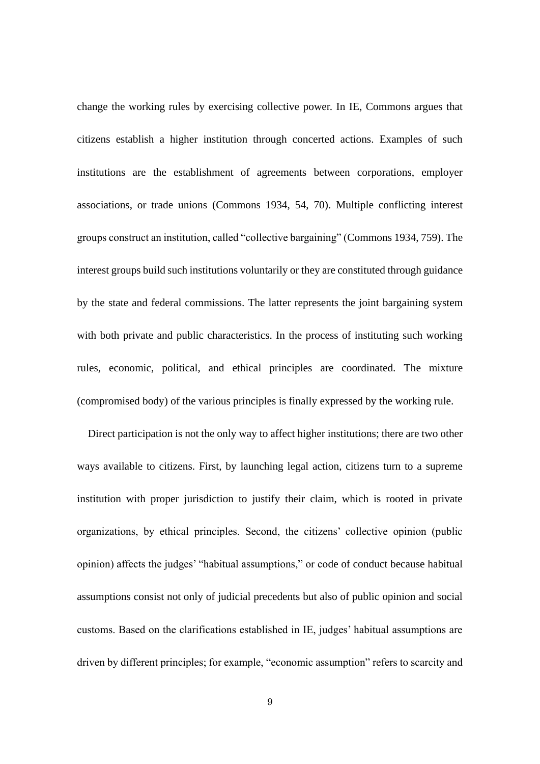change the working rules by exercising collective power. In IE, Commons argues that citizens establish a higher institution through concerted actions. Examples of such institutions are the establishment of agreements between corporations, employer associations, or trade unions (Commons 1934, 54, 70). Multiple conflicting interest groups construct an institution, called "collective bargaining" (Commons 1934, 759). The interest groups build such institutions voluntarily or they are constituted through guidance by the state and federal commissions. The latter represents the joint bargaining system with both private and public characteristics. In the process of instituting such working rules, economic, political, and ethical principles are coordinated. The mixture (compromised body) of the various principles is finally expressed by the working rule.

Direct participation is not the only way to affect higher institutions; there are two other ways available to citizens. First, by launching legal action, citizens turn to a supreme institution with proper jurisdiction to justify their claim, which is rooted in private organizations, by ethical principles. Second, the citizens' collective opinion (public opinion) affects the judges' "habitual assumptions," or code of conduct because habitual assumptions consist not only of judicial precedents but also of public opinion and social customs. Based on the clarifications established in IE, judges' habitual assumptions are driven by different principles; for example, "economic assumption" refers to scarcity and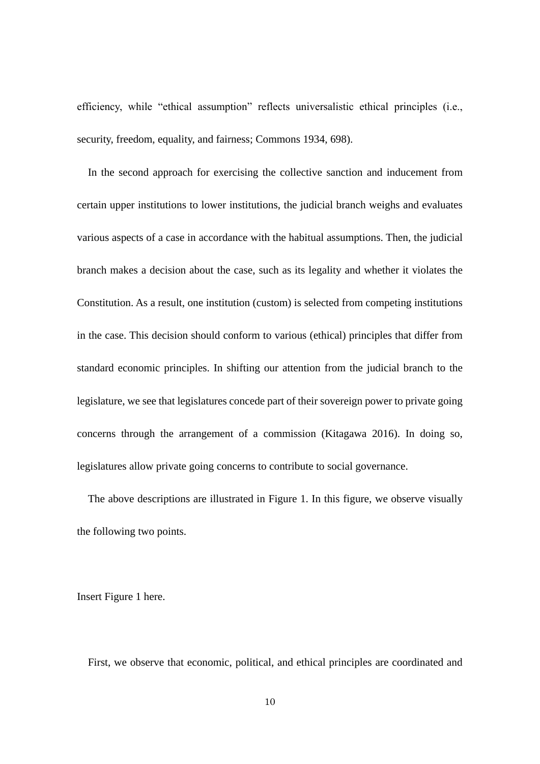efficiency, while "ethical assumption" reflects universalistic ethical principles (i.e., security, freedom, equality, and fairness; Commons 1934, 698).

In the second approach for exercising the collective sanction and inducement from certain upper institutions to lower institutions, the judicial branch weighs and evaluates various aspects of a case in accordance with the habitual assumptions. Then, the judicial branch makes a decision about the case, such as its legality and whether it violates the Constitution. As a result, one institution (custom) is selected from competing institutions in the case. This decision should conform to various (ethical) principles that differ from standard economic principles. In shifting our attention from the judicial branch to the legislature, we see that legislatures concede part of their sovereign power to private going concerns through the arrangement of a commission (Kitagawa 2016). In doing so, legislatures allow private going concerns to contribute to social governance.

The above descriptions are illustrated in Figure 1. In this figure, we observe visually the following two points.

Insert Figure 1 here.

First, we observe that economic, political, and ethical principles are coordinated and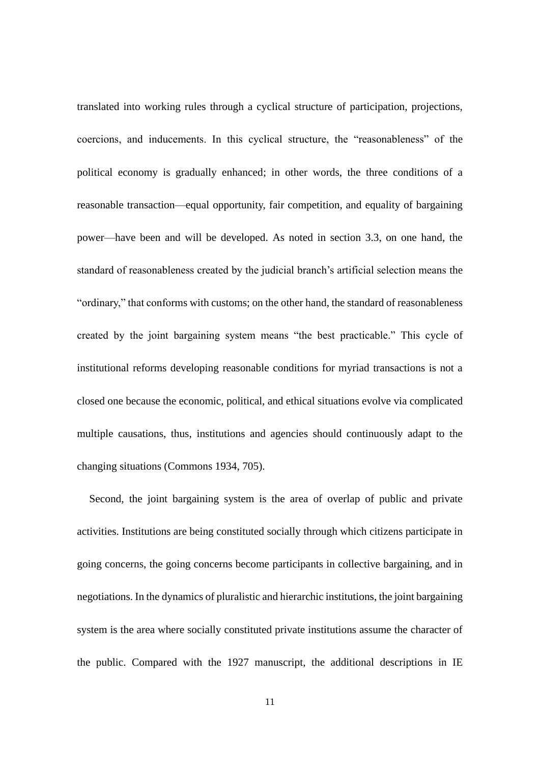translated into working rules through a cyclical structure of participation, projections, coercions, and inducements. In this cyclical structure, the "reasonableness" of the political economy is gradually enhanced; in other words, the three conditions of a reasonable transaction—equal opportunity, fair competition, and equality of bargaining power—have been and will be developed. As noted in section 3.3, on one hand, the standard of reasonableness created by the judicial branch's artificial selection means the "ordinary," that conforms with customs; on the other hand, the standard of reasonableness created by the joint bargaining system means "the best practicable." This cycle of institutional reforms developing reasonable conditions for myriad transactions is not a closed one because the economic, political, and ethical situations evolve via complicated multiple causations, thus, institutions and agencies should continuously adapt to the changing situations (Commons 1934, 705).

Second, the joint bargaining system is the area of overlap of public and private activities. Institutions are being constituted socially through which citizens participate in going concerns, the going concerns become participants in collective bargaining, and in negotiations. In the dynamics of pluralistic and hierarchic institutions, the joint bargaining system is the area where socially constituted private institutions assume the character of the public. Compared with the 1927 manuscript, the additional descriptions in IE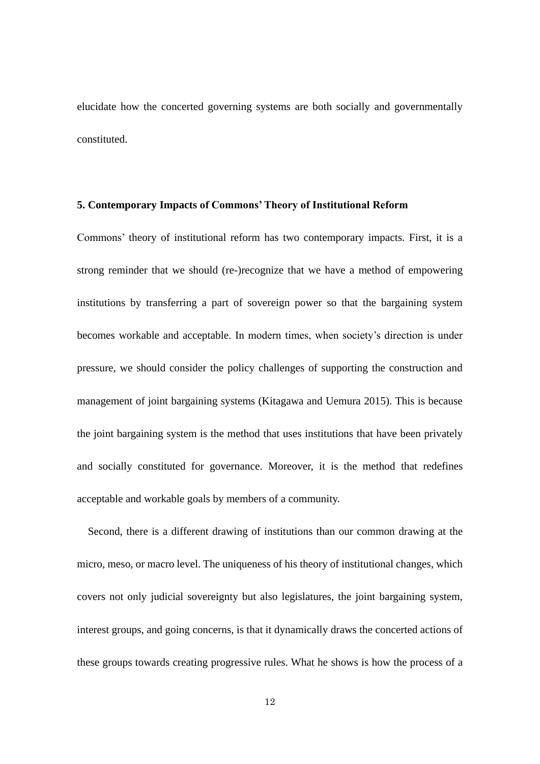elucidate how the concerted governing systems are both socially and governmentally constituted.

### **5. Contemporary Impacts of Commons' Theory of Institutional Reform**

Commons' theory of institutional reform has two contemporary impacts. First, it is a strong reminder that we should (re-)recognize that we have a method of empowering institutions by transferring a part of sovereign power so that the bargaining system becomes workable and acceptable. In modern times, when society's direction is under pressure, we should consider the policy challenges of supporting the construction and management of joint bargaining systems (Kitagawa and Uemura 2015). This is because the joint bargaining system is the method that uses institutions that have been privately and socially constituted for governance. Moreover, it is the method that redefines acceptable and workable goals by members of a community.

Second, there is a different drawing of institutions than our common drawing at the micro, meso, or macro level. The uniqueness of his theory of institutional changes, which covers not only judicial sovereignty but also legislatures, the joint bargaining system, interest groups, and going concerns, is that it dynamically draws the concerted actions of these groups towards creating progressive rules. What he shows is how the process of a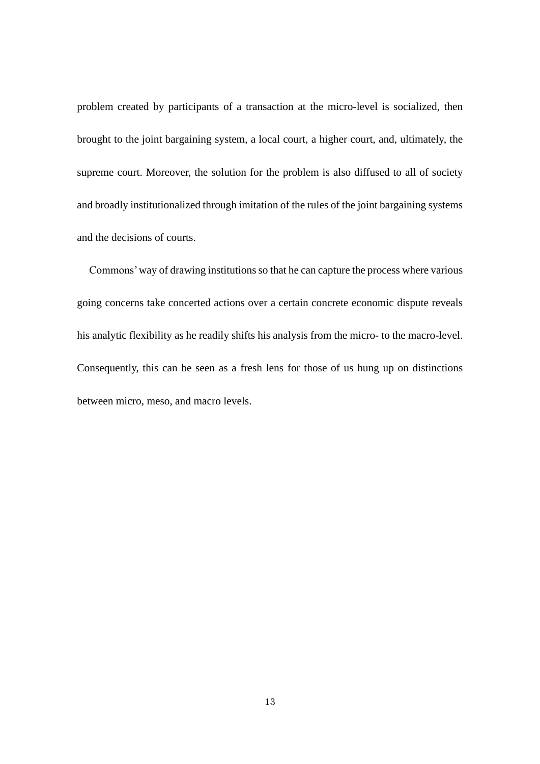problem created by participants of a transaction at the micro-level is socialized, then brought to the joint bargaining system, a local court, a higher court, and, ultimately, the supreme court. Moreover, the solution for the problem is also diffused to all of society and broadly institutionalized through imitation of the rules of the joint bargaining systems and the decisions of courts.

Commons' way of drawing institutions so that he can capture the process where various going concerns take concerted actions over a certain concrete economic dispute reveals his analytic flexibility as he readily shifts his analysis from the micro- to the macro-level. Consequently, this can be seen as a fresh lens for those of us hung up on distinctions between micro, meso, and macro levels.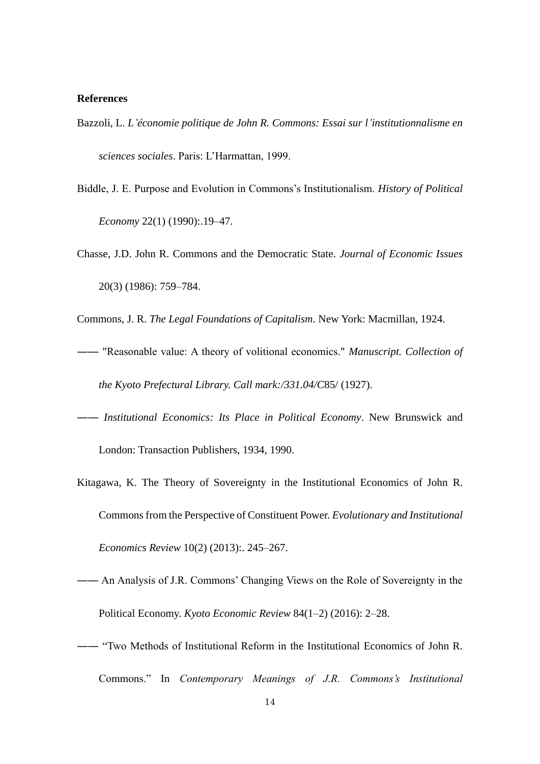### **References**

- Bazzoli, L. *L'économie politique de John R. Commons: Essai sur l'institutionnalisme en sciences sociales*. Paris: L'Harmattan, 1999.
- Biddle, J. E. Purpose and Evolution in Commons's Institutionalism. *History of Political Economy* 22(1) (1990):.19–47.
- Chasse, J.D. John R. Commons and the Democratic State. *Journal of Economic Issues* 20(3) (1986): 759–784.
- Commons, J. R. *The Legal Foundations of Capitalism*. New York: Macmillan, 1924.
- ―― "Reasonable value: A theory of volitional economics." *Manuscript. Collection of the Kyoto Prefectural Library. Call mark:/331.04/C*85/ (1927).
- ―― *Institutional Economics: Its Place in Political Economy*. New Brunswick and London: Transaction Publishers, 1934, 1990.
- Kitagawa, K. The Theory of Sovereignty in the Institutional Economics of John R. Commons from the Perspective of Constituent Power. *Evolutionary and Institutional Economics Review* 10(2) (2013):. 245–267.
- ―― An Analysis of J.R. Commons' Changing Views on the Role of Sovereignty in the Political Economy. *Kyoto Economic Review* 84(1–2) (2016): 2–28.
- ―― "Two Methods of Institutional Reform in the Institutional Economics of John R. Commons." In *Contemporary Meanings of J.R. Commons's Institutional*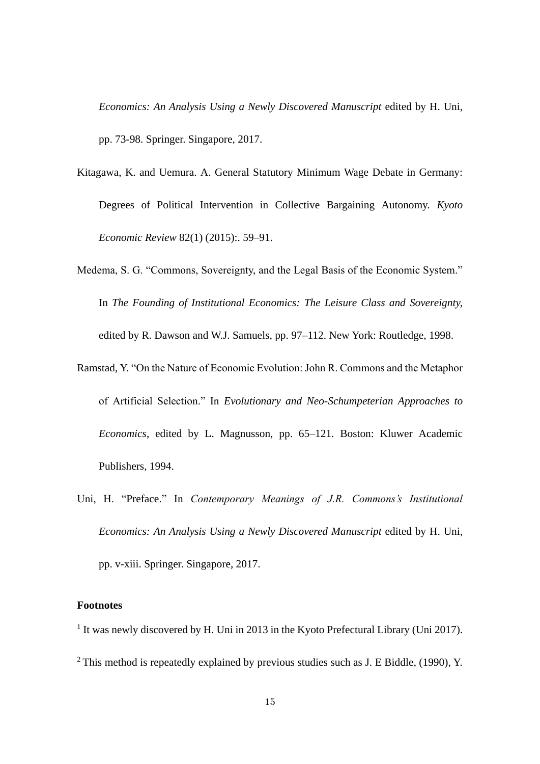*Economics: An Analysis Using a Newly Discovered Manuscript* edited by H. Uni, pp. 73-98. Springer. Singapore, 2017.

- Kitagawa, K. and Uemura. A. General Statutory Minimum Wage Debate in Germany: Degrees of Political Intervention in Collective Bargaining Autonomy. *Kyoto Economic Review* 82(1) (2015):. 59–91.
- Medema, S. G. "Commons, Sovereignty, and the Legal Basis of the Economic System." In *The Founding of Institutional Economics: The Leisure Class and Sovereignty,* edited by R. Dawson and W.J. Samuels, pp. 97–112. New York: Routledge, 1998.
- Ramstad, Y. "On the Nature of Economic Evolution: John R. Commons and the Metaphor of Artificial Selection." In *Evolutionary and Neo-Schumpeterian Approaches to Economics*, edited by L. Magnusson, pp. 65–121. Boston: Kluwer Academic Publishers, 1994.
- Uni, H. "Preface." In *Contemporary Meanings of J.R. Commons's Institutional Economics: An Analysis Using a Newly Discovered Manuscript* edited by H. Uni, pp. v-xiii. Springer. Singapore, 2017.

# **Footnotes**

<sup>1</sup> It was newly discovered by H. Uni in 2013 in the Kyoto Prefectural Library (Uni 2017).  $2$  This method is repeatedly explained by previous studies such as J. E Biddle, (1990), Y.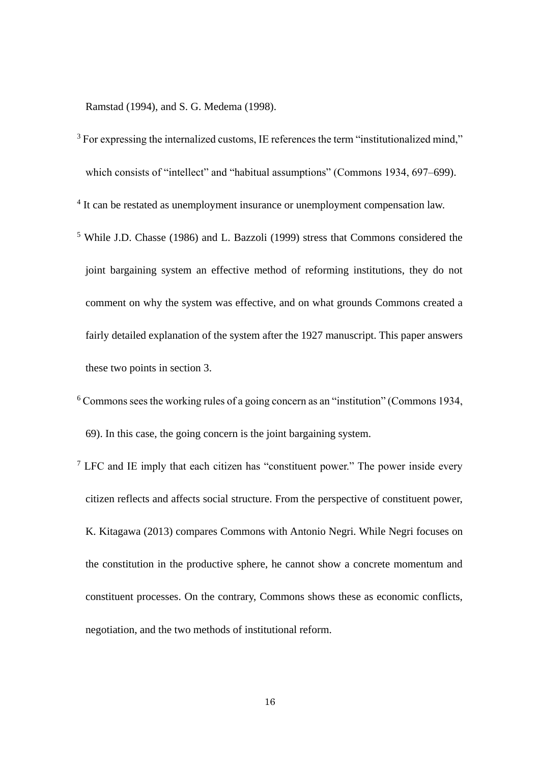Ramstad (1994), and S. G. Medema (1998).

- $3$  For expressing the internalized customs, IE references the term "institutionalized mind," which consists of "intellect" and "habitual assumptions" (Commons 1934, 697–699).
- <sup>4</sup> It can be restated as unemployment insurance or unemployment compensation law.
- <sup>5</sup> While J.D. Chasse (1986) and L. Bazzoli (1999) stress that Commons considered the joint bargaining system an effective method of reforming institutions, they do not comment on why the system was effective, and on what grounds Commons created a fairly detailed explanation of the system after the 1927 manuscript. This paper answers these two points in section 3.
- <sup>6</sup> Commons sees the working rules of a going concern as an "institution" (Commons 1934, 69). In this case, the going concern is the joint bargaining system.
- $7$  LFC and IE imply that each citizen has "constituent power." The power inside every citizen reflects and affects social structure. From the perspective of constituent power, K. Kitagawa (2013) compares Commons with Antonio Negri. While Negri focuses on the constitution in the productive sphere, he cannot show a concrete momentum and constituent processes. On the contrary, Commons shows these as economic conflicts, negotiation, and the two methods of institutional reform.